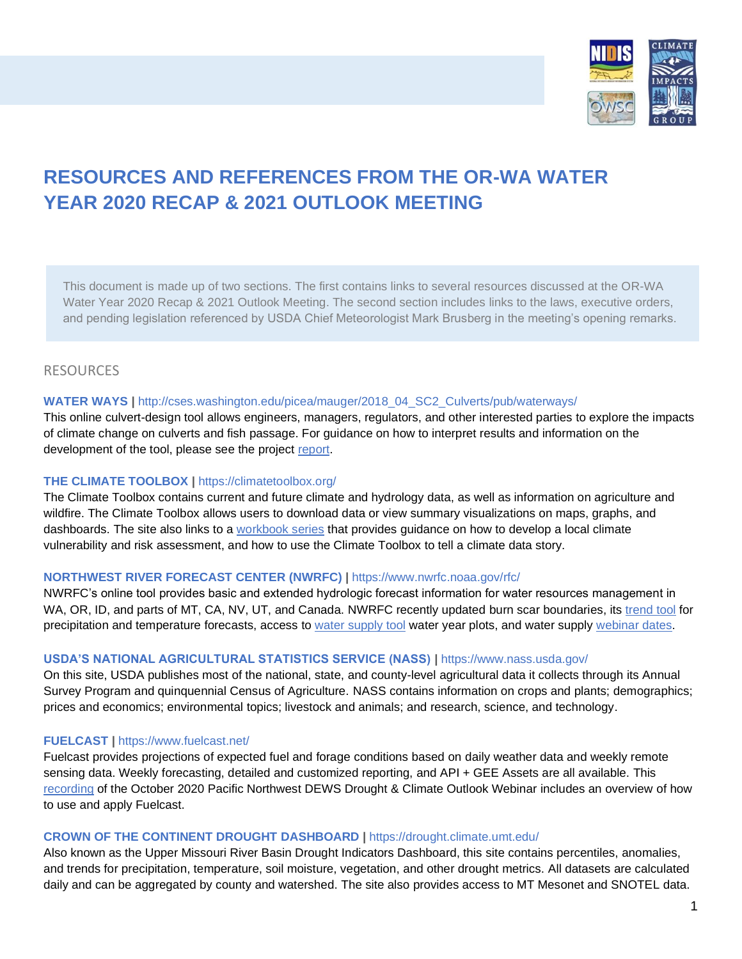

# **RESOURCES AND REFERENCES FROM THE OR-WA WATER YEAR 2020 RECAP & 2021 OUTLOOK MEETING**

This document is made up of two sections. The first contains links to several resources discussed at the OR-WA Water Year 2020 Recap & 2021 Outlook Meeting. The second section includes links to the laws, executive orders, and pending legislation referenced by USDA Chief Meteorologist Mark Brusberg in the meeting's opening remarks.

# RESOURCES

### **WATER WAYS |** http://cses.washington.edu/picea/mauger/2018\_04\_SC2\_Culverts/pub/waterways/

This online culvert-design tool allows engineers, managers, regulators, and other interested parties to explore the impacts of climate change on culverts and fish passage. For guidance on how to interpret results and information on the development of the tool, please see the project [report.](https://cig.uw.edu/our-work/decision-support/culvert-phase-2/) 

### **THE CLIMATE TOOLBOX |** <https://climatetoolbox.org/>

The Climate Toolbox contains current and future climate and hydrology data, as well as information on agriculture and wildfire. The Climate Toolbox allows users to download data or view summary visualizations on maps, graphs, and dashboards. The site also links to a [workbook series](https://climatetoolbox.org/guidance) that provides guidance on how to develop a local climate vulnerability and risk assessment, and how to use the Climate Toolbox to tell a climate data story.

### **NORTHWEST RIVER FORECAST CENTER (NWRFC) |** https://www.nwrfc.noaa.gov/rfc/

NWRFC's online tool provides basic and extended hydrologic forecast information for water resources management in WA, OR, ID, and parts of MT, CA, NV, UT, and Canada. NWRFC recently updated burn scar boundaries, its [trend tool](https://www.nwrfc.noaa.gov/weather/trend/) for precipitation and temperature forecasts, access to [water supply](https://www.nwrfc.noaa.gov/ws/) tool water year plots, and water supply [webinar dates.](https://www.nwrfc.noaa.gov/water_supply/ws_schd.cgi)

### **USDA'S NATIONAL AGRICULTURAL STATISTICS SERVICE (NASS) |** https://www.nass.usda.gov/

On this site, USDA publishes most of the national, state, and county-level agricultural data it collects through its Annual Survey Program and quinquennial Census of Agriculture. NASS contains information on crops and plants; demographics; prices and economics; environmental topics; livestock and animals; and research, science, and technology.

### **FUELCAST |** <https://www.fuelcast.net/>

Fuelcast provides projections of expected fuel and forage conditions based on daily weather data and weekly remote sensing data. Weekly forecasting, detailed and customized reporting, and API + GEE Assets are all available. This [recording](https://www.youtube.com/watch?v=YVP6lAd2U6s&t=3s) of the October 2020 Pacific Northwest DEWS Drought & Climate Outlook Webinar includes an overview of how to use and apply Fuelcast.

### **CROWN OF THE CONTINENT DROUGHT DASHBOARD |** https://drought.climate.umt.edu/

Also known as the Upper Missouri River Basin Drought Indicators Dashboard, this site contains percentiles, anomalies, and trends for precipitation, temperature, soil moisture, vegetation, and other drought metrics. All datasets are calculated daily and can be aggregated by county and watershed. The site also provides access to MT Mesonet and SNOTEL data.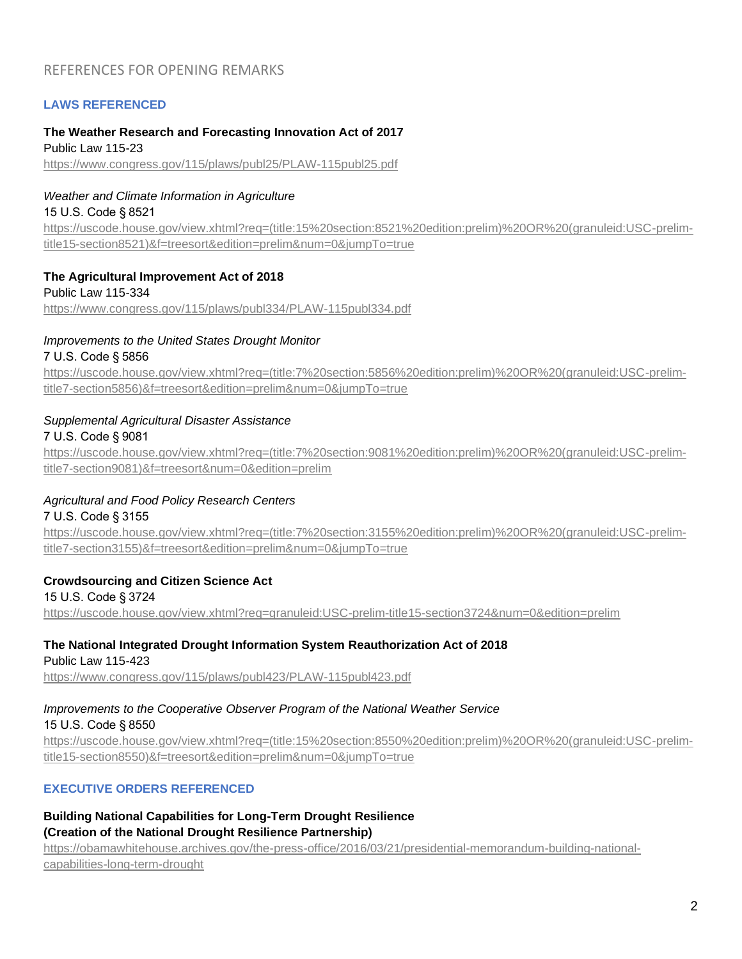# REFERENCES FOR OPENING REMARKS

# **LAWS REFERENCED**

### **The Weather Research and Forecasting Innovation Act of 2017**

Public Law 115-23 <https://www.congress.gov/115/plaws/publ25/PLAW-115publ25.pdf>

### *Weather and Climate Information in Agriculture*

15 U.S. Code § 8521

[https://uscode.house.gov/view.xhtml?req=\(title:15%20section:8521%20edition:prelim\)%20OR%20\(granuleid:USC-prelim](https://uscode.house.gov/view.xhtml?req=(title:15%20section:8521%20edition:prelim)%20OR%20(granuleid:USC-prelim-title15-section8521)&f=treesort&edition=prelim&num=0&jumpTo=true)[title15-section8521\)&f=treesort&edition=prelim&num=0&jumpTo=true](https://uscode.house.gov/view.xhtml?req=(title:15%20section:8521%20edition:prelim)%20OR%20(granuleid:USC-prelim-title15-section8521)&f=treesort&edition=prelim&num=0&jumpTo=true)

### **The Agricultural Improvement Act of 2018**

Public Law 115-334 <https://www.congress.gov/115/plaws/publ334/PLAW-115publ334.pdf>

# *Improvements to the United States Drought Monitor*

### 7 U.S. Code § 5856

[https://uscode.house.gov/view.xhtml?req=\(title:7%20section:5856%20edition:prelim\)%20OR%20\(granuleid:USC-prelim](https://uscode.house.gov/view.xhtml?req=(title:7%20section:5856%20edition:prelim)%20OR%20(granuleid:USC-prelim-title7-section5856)&f=treesort&edition=prelim&num=0&jumpTo=true)[title7-section5856\)&f=treesort&edition=prelim&num=0&jumpTo=true](https://uscode.house.gov/view.xhtml?req=(title:7%20section:5856%20edition:prelim)%20OR%20(granuleid:USC-prelim-title7-section5856)&f=treesort&edition=prelim&num=0&jumpTo=true)

# *Supplemental Agricultural Disaster Assistance*

# 7 U.S. Code § 9081

[https://uscode.house.gov/view.xhtml?req=\(title:7%20section:9081%20edition:prelim\)%20OR%20\(granuleid:USC-prelim](https://uscode.house.gov/view.xhtml?req=(title:7%20section:9081%20edition:prelim)%20OR%20(granuleid:USC-prelim-title7-section9081)&f=treesort&num=0&edition=prelim)[title7-section9081\)&f=treesort&num=0&edition=prelim](https://uscode.house.gov/view.xhtml?req=(title:7%20section:9081%20edition:prelim)%20OR%20(granuleid:USC-prelim-title7-section9081)&f=treesort&num=0&edition=prelim)

# *Agricultural and Food Policy Research Centers*

### 7 U.S. Code § 3155

[https://uscode.house.gov/view.xhtml?req=\(title:7%20section:3155%20edition:prelim\)%20OR%20\(granuleid:USC-prelim](https://uscode.house.gov/view.xhtml?req=(title:7%20section:3155%20edition:prelim)%20OR%20(granuleid:USC-prelim-title7-section3155)&f=treesort&edition=prelim&num=0&jumpTo=true)[title7-section3155\)&f=treesort&edition=prelim&num=0&jumpTo=true](https://uscode.house.gov/view.xhtml?req=(title:7%20section:3155%20edition:prelim)%20OR%20(granuleid:USC-prelim-title7-section3155)&f=treesort&edition=prelim&num=0&jumpTo=true)

# **Crowdsourcing and Citizen Science Act**

15 U.S. Code § 3724 <https://uscode.house.gov/view.xhtml?req=granuleid:USC-prelim-title15-section3724&num=0&edition=prelim>

#### **The National Integrated Drought Information System Reauthorization Act of 2018**  Public Law 115-423

<https://www.congress.gov/115/plaws/publ423/PLAW-115publ423.pdf>

# *Improvements to the Cooperative Observer Program of the National Weather Service*

15 U.S. Code § 8550

[https://uscode.house.gov/view.xhtml?req=\(title:15%20section:8550%20edition:prelim\)%20OR%20\(granuleid:USC-prelim](https://uscode.house.gov/view.xhtml?req=(title:15%20section:8550%20edition:prelim)%20OR%20(granuleid:USC-prelim-title15-section8550)&f=treesort&edition=prelim&num=0&jumpTo=true)[title15-section8550\)&f=treesort&edition=prelim&num=0&jumpTo=true](https://uscode.house.gov/view.xhtml?req=(title:15%20section:8550%20edition:prelim)%20OR%20(granuleid:USC-prelim-title15-section8550)&f=treesort&edition=prelim&num=0&jumpTo=true)

# **EXECUTIVE ORDERS REFERENCED**

# **Building National Capabilities for Long-Term Drought Resilience (Creation of the National Drought Resilience Partnership)**

[https://obamawhitehouse.archives.gov/the-press-office/2016/03/21/presidential-memorandum-building-national](https://obamawhitehouse.archives.gov/the-press-office/2016/03/21/presidential-memorandum-building-national-capabilities-long-term-drought)[capabilities-long-term-drought](https://obamawhitehouse.archives.gov/the-press-office/2016/03/21/presidential-memorandum-building-national-capabilities-long-term-drought)